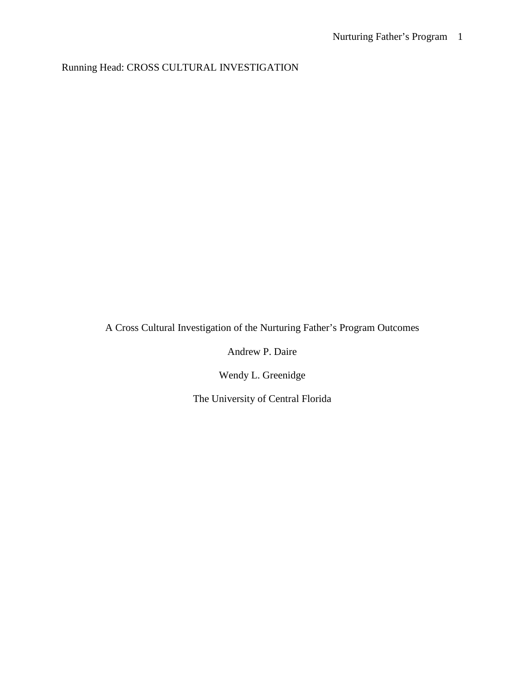Running Head: CROSS CULTURAL INVESTIGATION

A Cross Cultural Investigation of the Nurturing Father's Program Outcomes

Andrew P. Daire

Wendy L. Greenidge

The University of Central Florida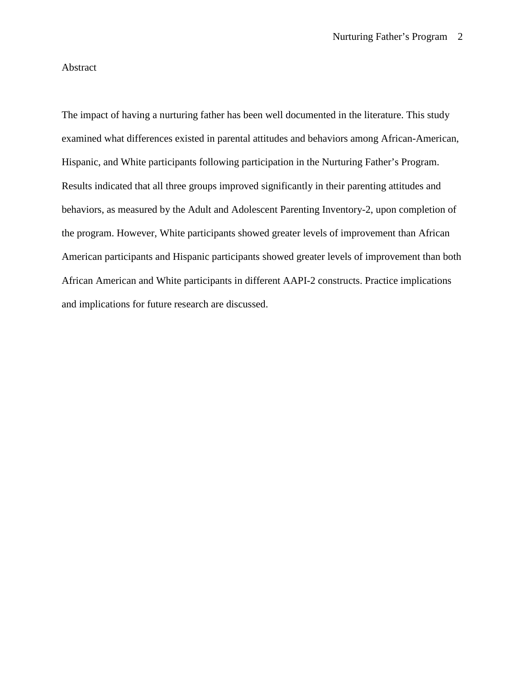# Abstract

The impact of having a nurturing father has been well documented in the literature. This study examined what differences existed in parental attitudes and behaviors among African-American, Hispanic, and White participants following participation in the Nurturing Father's Program. Results indicated that all three groups improved significantly in their parenting attitudes and behaviors, as measured by the Adult and Adolescent Parenting Inventory-2, upon completion of the program. However, White participants showed greater levels of improvement than African American participants and Hispanic participants showed greater levels of improvement than both African American and White participants in different AAPI-2 constructs. Practice implications and implications for future research are discussed.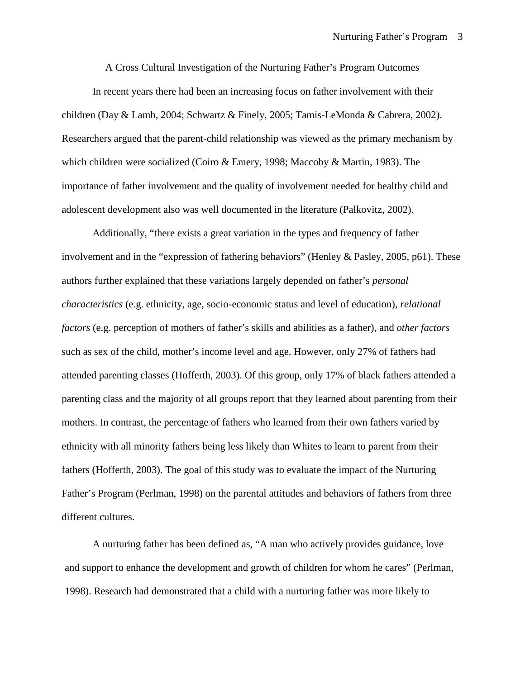A Cross Cultural Investigation of the Nurturing Father's Program Outcomes

In recent years there had been an increasing focus on father involvement with their children (Day & Lamb, 2004; Schwartz & Finely, 2005; Tamis-LeMonda & Cabrera, 2002). Researchers argued that the parent-child relationship was viewed as the primary mechanism by which children were socialized (Coiro & Emery, 1998; Maccoby & Martin, 1983). The importance of father involvement and the quality of involvement needed for healthy child and adolescent development also was well documented in the literature (Palkovitz, 2002).

Additionally, "there exists a great variation in the types and frequency of father involvement and in the "expression of fathering behaviors" (Henley & Pasley, 2005, p61). These authors further explained that these variations largely depended on father's *personal characteristics* (e.g. ethnicity, age, socio-economic status and level of education), *relational factors* (e.g. perception of mothers of father's skills and abilities as a father), and *other factors* such as sex of the child, mother's income level and age. However, only 27% of fathers had attended parenting classes (Hofferth, 2003). Of this group, only 17% of black fathers attended a parenting class and the majority of all groups report that they learned about parenting from their mothers. In contrast, the percentage of fathers who learned from their own fathers varied by ethnicity with all minority fathers being less likely than Whites to learn to parent from their fathers (Hofferth, 2003). The goal of this study was to evaluate the impact of the Nurturing Father's Program (Perlman, 1998) on the parental attitudes and behaviors of fathers from three different cultures.

A nurturing father has been defined as, "A man who actively provides guidance, love and support to enhance the development and growth of children for whom he cares" (Perlman, 1998). Research had demonstrated that a child with a nurturing father was more likely to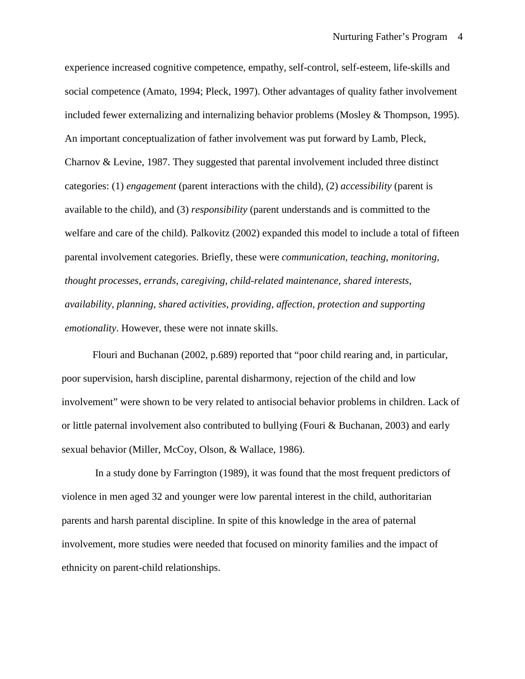experience increased cognitive competence, empathy, self-control, self-esteem, life-skills and social competence (Amato, 1994; Pleck, 1997). Other advantages of quality father involvement included fewer externalizing and internalizing behavior problems (Mosley & Thompson, 1995). An important conceptualization of father involvement was put forward by Lamb, Pleck, Charnov & Levine, 1987. They suggested that parental involvement included three distinct categories: (1) *engagement* (parent interactions with the child), (2) *accessibility* (parent is available to the child), and (3) *responsibility* (parent understands and is committed to the welfare and care of the child). Palkovitz (2002) expanded this model to include a total of fifteen parental involvement categories. Briefly, these were *communication, teaching, monitoring, thought processes, errands, caregiving, child-related maintenance, shared interests, availability, planning, shared activities, providing, affection, protection and supporting emotionality*. However, these were not innate skills.

Flouri and Buchanan (2002, p.689) reported that "poor child rearing and, in particular, poor supervision, harsh discipline, parental disharmony, rejection of the child and low involvement" were shown to be very related to antisocial behavior problems in children. Lack of or little paternal involvement also contributed to bullying (Fouri & Buchanan, 2003) and early sexual behavior (Miller, McCoy, Olson, & Wallace, 1986).

In a study done by Farrington (1989), it was found that the most frequent predictors of violence in men aged 32 and younger were low parental interest in the child, authoritarian parents and harsh parental discipline. In spite of this knowledge in the area of paternal involvement, more studies were needed that focused on minority families and the impact of ethnicity on parent-child relationships.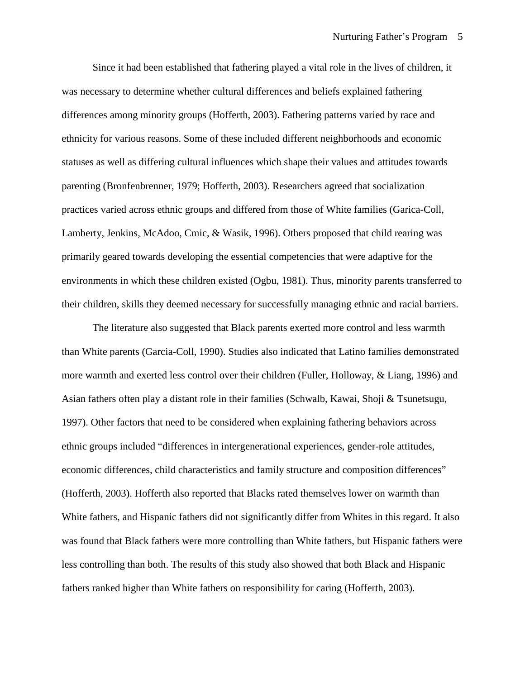Since it had been established that fathering played a vital role in the lives of children, it was necessary to determine whether cultural differences and beliefs explained fathering differences among minority groups (Hofferth, 2003). Fathering patterns varied by race and ethnicity for various reasons. Some of these included different neighborhoods and economic statuses as well as differing cultural influences which shape their values and attitudes towards parenting (Bronfenbrenner, 1979; Hofferth, 2003). Researchers agreed that socialization practices varied across ethnic groups and differed from those of White families (Garica-Coll, Lamberty, Jenkins, McAdoo, Cmic, & Wasik, 1996). Others proposed that child rearing was primarily geared towards developing the essential competencies that were adaptive for the environments in which these children existed (Ogbu, 1981). Thus, minority parents transferred to their children, skills they deemed necessary for successfully managing ethnic and racial barriers.

The literature also suggested that Black parents exerted more control and less warmth than White parents (Garcia-Coll, 1990). Studies also indicated that Latino families demonstrated more warmth and exerted less control over their children (Fuller, Holloway, & Liang, 1996) and Asian fathers often play a distant role in their families (Schwalb, Kawai, Shoji & Tsunetsugu, 1997). Other factors that need to be considered when explaining fathering behaviors across ethnic groups included "differences in intergenerational experiences, gender-role attitudes, economic differences, child characteristics and family structure and composition differences" (Hofferth, 2003). Hofferth also reported that Blacks rated themselves lower on warmth than White fathers, and Hispanic fathers did not significantly differ from Whites in this regard. It also was found that Black fathers were more controlling than White fathers, but Hispanic fathers were less controlling than both. The results of this study also showed that both Black and Hispanic fathers ranked higher than White fathers on responsibility for caring (Hofferth, 2003).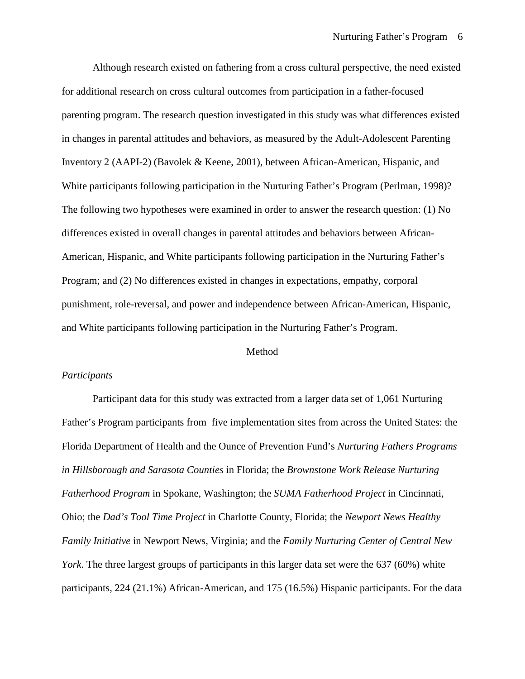Although research existed on fathering from a cross cultural perspective, the need existed for additional research on cross cultural outcomes from participation in a father-focused parenting program. The research question investigated in this study was what differences existed in changes in parental attitudes and behaviors, as measured by the Adult-Adolescent Parenting Inventory 2 (AAPI-2) (Bavolek & Keene, 2001), between African-American, Hispanic, and White participants following participation in the Nurturing Father's Program (Perlman, 1998)? The following two hypotheses were examined in order to answer the research question: (1) No differences existed in overall changes in parental attitudes and behaviors between African-American, Hispanic, and White participants following participation in the Nurturing Father's Program; and (2) No differences existed in changes in expectations, empathy, corporal punishment, role-reversal, and power and independence between African-American, Hispanic, and White participants following participation in the Nurturing Father's Program.

### Method

## *Participants*

Participant data for this study was extracted from a larger data set of 1,061 Nurturing Father's Program participants from five implementation sites from across the United States: the Florida Department of Health and the Ounce of Prevention Fund's *Nurturing Fathers Programs in Hillsborough and Sarasota Counties* in Florida; the *Brownstone Work Release Nurturing Fatherhood Program* in Spokane, Washington; the *SUMA Fatherhood Project* in Cincinnati, Ohio; the *Dad's Tool Time Project* in Charlotte County, Florida; the *Newport News Healthy Family Initiative* in Newport News, Virginia; and the *Family Nurturing Center of Central New York*. The three largest groups of participants in this larger data set were the 637 (60%) white participants, 224 (21.1%) African-American, and 175 (16.5%) Hispanic participants. For the data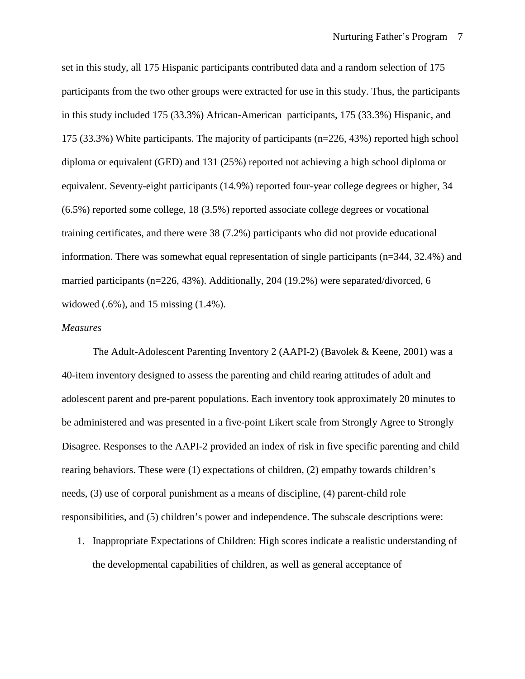set in this study, all 175 Hispanic participants contributed data and a random selection of 175 participants from the two other groups were extracted for use in this study. Thus, the participants in this study included 175 (33.3%) African-American participants, 175 (33.3%) Hispanic, and 175 (33.3%) White participants. The majority of participants (n=226, 43%) reported high school diploma or equivalent (GED) and 131 (25%) reported not achieving a high school diploma or equivalent. Seventy-eight participants (14.9%) reported four-year college degrees or higher, 34 (6.5%) reported some college, 18 (3.5%) reported associate college degrees or vocational training certificates, and there were 38 (7.2%) participants who did not provide educational information. There was somewhat equal representation of single participants (n=344, 32.4%) and married participants (n=226, 43%). Additionally, 204 (19.2%) were separated/divorced, 6 widowed (.6%), and 15 missing (1.4%).

### *Measures*

The Adult-Adolescent Parenting Inventory 2 (AAPI-2) (Bavolek & Keene, 2001) was a 40-item inventory designed to assess the parenting and child rearing attitudes of adult and adolescent parent and pre-parent populations. Each inventory took approximately 20 minutes to be administered and was presented in a five-point Likert scale from Strongly Agree to Strongly Disagree. Responses to the AAPI-2 provided an index of risk in five specific parenting and child rearing behaviors. These were (1) expectations of children, (2) empathy towards children's needs, (3) use of corporal punishment as a means of discipline, (4) parent-child role responsibilities, and (5) children's power and independence. The subscale descriptions were:

1. Inappropriate Expectations of Children: High scores indicate a realistic understanding of the developmental capabilities of children, as well as general acceptance of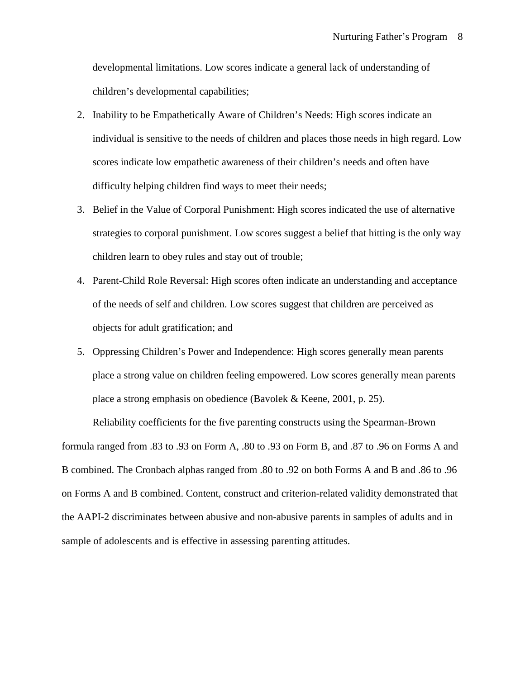developmental limitations. Low scores indicate a general lack of understanding of children's developmental capabilities;

- 2. Inability to be Empathetically Aware of Children's Needs: High scores indicate an individual is sensitive to the needs of children and places those needs in high regard. Low scores indicate low empathetic awareness of their children's needs and often have difficulty helping children find ways to meet their needs;
- 3. Belief in the Value of Corporal Punishment: High scores indicated the use of alternative strategies to corporal punishment. Low scores suggest a belief that hitting is the only way children learn to obey rules and stay out of trouble;
- 4. Parent-Child Role Reversal: High scores often indicate an understanding and acceptance of the needs of self and children. Low scores suggest that children are perceived as objects for adult gratification; and
- 5. Oppressing Children's Power and Independence: High scores generally mean parents place a strong value on children feeling empowered. Low scores generally mean parents place a strong emphasis on obedience (Bavolek & Keene, 2001, p. 25).

Reliability coefficients for the five parenting constructs using the Spearman-Brown formula ranged from .83 to .93 on Form A, .80 to .93 on Form B, and .87 to .96 on Forms A and B combined. The Cronbach alphas ranged from .80 to .92 on both Forms A and B and .86 to .96 on Forms A and B combined. Content, construct and criterion-related validity demonstrated that the AAPI-2 discriminates between abusive and non-abusive parents in samples of adults and in sample of adolescents and is effective in assessing parenting attitudes.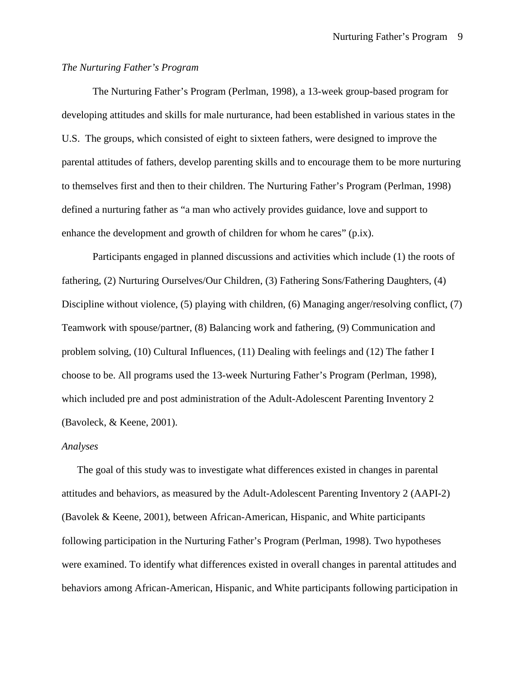# *The Nurturing Father's Program*

The Nurturing Father's Program (Perlman, 1998), a 13-week group-based program for developing attitudes and skills for male nurturance, had been established in various states in the U.S. The groups, which consisted of eight to sixteen fathers, were designed to improve the parental attitudes of fathers, develop parenting skills and to encourage them to be more nurturing to themselves first and then to their children. The Nurturing Father's Program (Perlman, 1998) defined a nurturing father as "a man who actively provides guidance, love and support to enhance the development and growth of children for whom he cares" (p.ix).

Participants engaged in planned discussions and activities which include (1) the roots of fathering, (2) Nurturing Ourselves/Our Children, (3) Fathering Sons/Fathering Daughters, (4) Discipline without violence, (5) playing with children, (6) Managing anger/resolving conflict, (7) Teamwork with spouse/partner, (8) Balancing work and fathering, (9) Communication and problem solving, (10) Cultural Influences, (11) Dealing with feelings and (12) The father I choose to be. All programs used the 13-week Nurturing Father's Program (Perlman, 1998), which included pre and post administration of the Adult-Adolescent Parenting Inventory 2 (Bavoleck, & Keene, 2001).

#### *Analyses*

The goal of this study was to investigate what differences existed in changes in parental attitudes and behaviors, as measured by the Adult-Adolescent Parenting Inventory 2 (AAPI-2) (Bavolek & Keene, 2001), between African-American, Hispanic, and White participants following participation in the Nurturing Father's Program (Perlman, 1998). Two hypotheses were examined. To identify what differences existed in overall changes in parental attitudes and behaviors among African-American, Hispanic, and White participants following participation in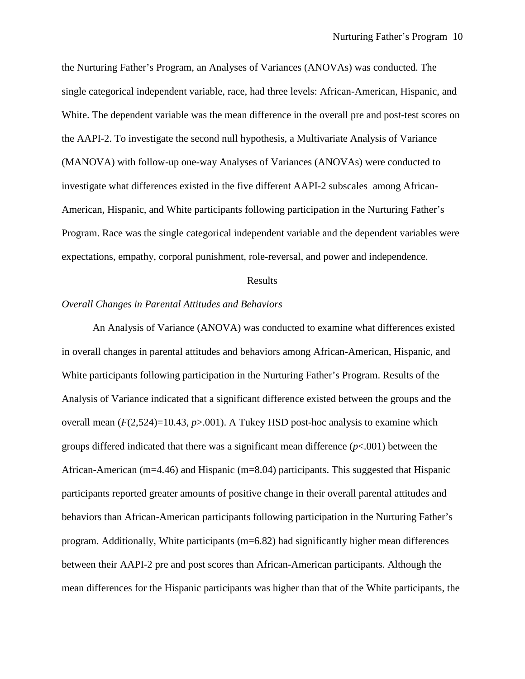the Nurturing Father's Program, an Analyses of Variances (ANOVAs) was conducted. The single categorical independent variable, race, had three levels: African-American, Hispanic, and White. The dependent variable was the mean difference in the overall pre and post-test scores on the AAPI-2. To investigate the second null hypothesis, a Multivariate Analysis of Variance (MANOVA) with follow-up one-way Analyses of Variances (ANOVAs) were conducted to investigate what differences existed in the five different AAPI-2 subscales among African-American, Hispanic, and White participants following participation in the Nurturing Father's Program. Race was the single categorical independent variable and the dependent variables were expectations, empathy, corporal punishment, role-reversal, and power and independence.

### Results

## *Overall Changes in Parental Attitudes and Behaviors*

An Analysis of Variance (ANOVA) was conducted to examine what differences existed in overall changes in parental attitudes and behaviors among African-American, Hispanic, and White participants following participation in the Nurturing Father's Program. Results of the Analysis of Variance indicated that a significant difference existed between the groups and the overall mean  $(F(2,524)=10.43, p>0.01)$ . A Tukey HSD post-hoc analysis to examine which groups differed indicated that there was a significant mean difference (*p*<.001) between the African-American (m=4.46) and Hispanic (m=8.04) participants. This suggested that Hispanic participants reported greater amounts of positive change in their overall parental attitudes and behaviors than African-American participants following participation in the Nurturing Father's program. Additionally, White participants (m=6.82) had significantly higher mean differences between their AAPI-2 pre and post scores than African-American participants. Although the mean differences for the Hispanic participants was higher than that of the White participants, the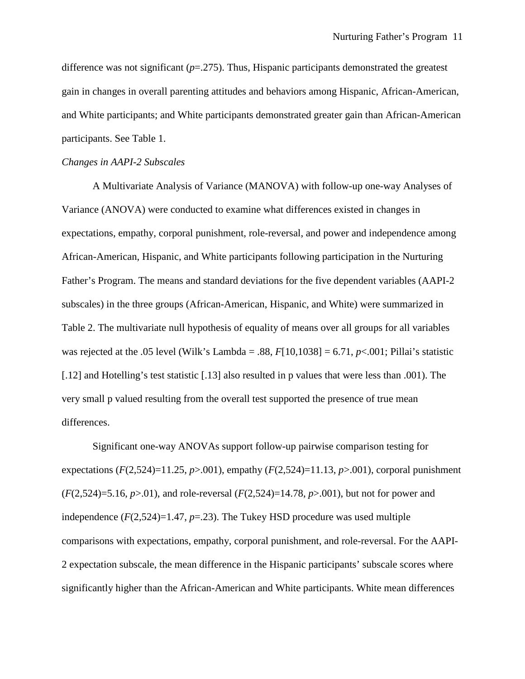difference was not significant (*p*=.275). Thus, Hispanic participants demonstrated the greatest gain in changes in overall parenting attitudes and behaviors among Hispanic, African-American, and White participants; and White participants demonstrated greater gain than African-American participants. See Table 1.

### *Changes in AAPI-2 Subscales*

A Multivariate Analysis of Variance (MANOVA) with follow-up one-way Analyses of Variance (ANOVA) were conducted to examine what differences existed in changes in expectations, empathy, corporal punishment, role-reversal, and power and independence among African-American, Hispanic, and White participants following participation in the Nurturing Father's Program. The means and standard deviations for the five dependent variables (AAPI-2 subscales) in the three groups (African-American, Hispanic, and White) were summarized in Table 2. The multivariate null hypothesis of equality of means over all groups for all variables was rejected at the .05 level (Wilk's Lambda = .88, *F*[10,1038] = 6.71, *p*<.001; Pillai's statistic [.12] and Hotelling's test statistic [.13] also resulted in p values that were less than .001). The very small p valued resulting from the overall test supported the presence of true mean differences.

Significant one-way ANOVAs support follow-up pairwise comparison testing for expectations  $(F(2,524)=11.25, p>0.001)$ , empathy  $(F(2,524)=11.13, p>0.01)$ , corporal punishment (*F*(2,524)=5.16, *p*>.01), and role-reversal (*F*(2,524)=14.78, *p*>.001), but not for power and independence  $(F(2,524)=1.47, p=.23)$ . The Tukey HSD procedure was used multiple comparisons with expectations, empathy, corporal punishment, and role-reversal. For the AAPI-2 expectation subscale, the mean difference in the Hispanic participants' subscale scores where significantly higher than the African-American and White participants. White mean differences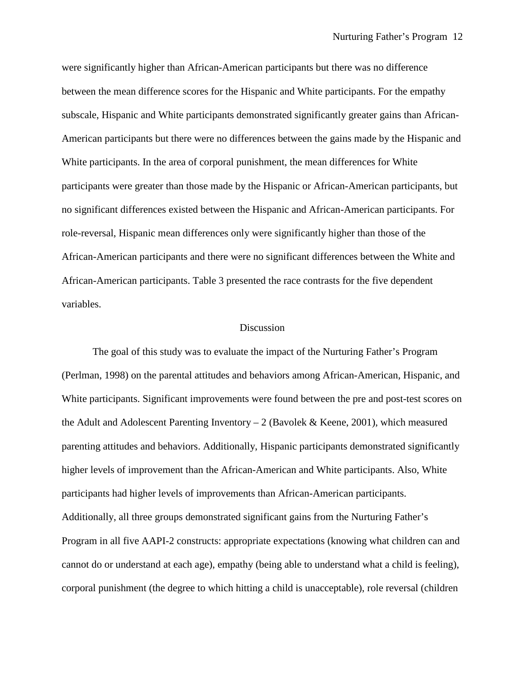were significantly higher than African-American participants but there was no difference between the mean difference scores for the Hispanic and White participants. For the empathy subscale, Hispanic and White participants demonstrated significantly greater gains than African-American participants but there were no differences between the gains made by the Hispanic and White participants. In the area of corporal punishment, the mean differences for White participants were greater than those made by the Hispanic or African-American participants, but no significant differences existed between the Hispanic and African-American participants. For role-reversal, Hispanic mean differences only were significantly higher than those of the African-American participants and there were no significant differences between the White and African-American participants. Table 3 presented the race contrasts for the five dependent variables.

## Discussion

The goal of this study was to evaluate the impact of the Nurturing Father's Program (Perlman, 1998) on the parental attitudes and behaviors among African-American, Hispanic, and White participants. Significant improvements were found between the pre and post-test scores on the Adult and Adolescent Parenting Inventory  $-2$  (Bavolek & Keene, 2001), which measured parenting attitudes and behaviors. Additionally, Hispanic participants demonstrated significantly higher levels of improvement than the African-American and White participants. Also, White participants had higher levels of improvements than African-American participants. Additionally, all three groups demonstrated significant gains from the Nurturing Father's Program in all five AAPI-2 constructs: appropriate expectations (knowing what children can and cannot do or understand at each age), empathy (being able to understand what a child is feeling), corporal punishment (the degree to which hitting a child is unacceptable), role reversal (children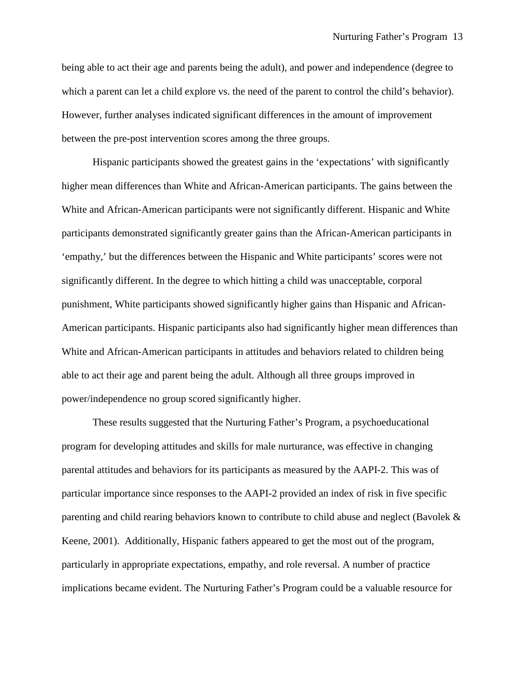being able to act their age and parents being the adult), and power and independence (degree to which a parent can let a child explore vs. the need of the parent to control the child's behavior). However, further analyses indicated significant differences in the amount of improvement between the pre-post intervention scores among the three groups.

Hispanic participants showed the greatest gains in the 'expectations' with significantly higher mean differences than White and African-American participants. The gains between the White and African-American participants were not significantly different. Hispanic and White participants demonstrated significantly greater gains than the African-American participants in 'empathy,' but the differences between the Hispanic and White participants' scores were not significantly different. In the degree to which hitting a child was unacceptable, corporal punishment, White participants showed significantly higher gains than Hispanic and African-American participants. Hispanic participants also had significantly higher mean differences than White and African-American participants in attitudes and behaviors related to children being able to act their age and parent being the adult. Although all three groups improved in power/independence no group scored significantly higher.

These results suggested that the Nurturing Father's Program, a psychoeducational program for developing attitudes and skills for male nurturance, was effective in changing parental attitudes and behaviors for its participants as measured by the AAPI-2. This was of particular importance since responses to the AAPI-2 provided an index of risk in five specific parenting and child rearing behaviors known to contribute to child abuse and neglect (Bavolek & Keene, 2001). Additionally, Hispanic fathers appeared to get the most out of the program, particularly in appropriate expectations, empathy, and role reversal. A number of practice implications became evident. The Nurturing Father's Program could be a valuable resource for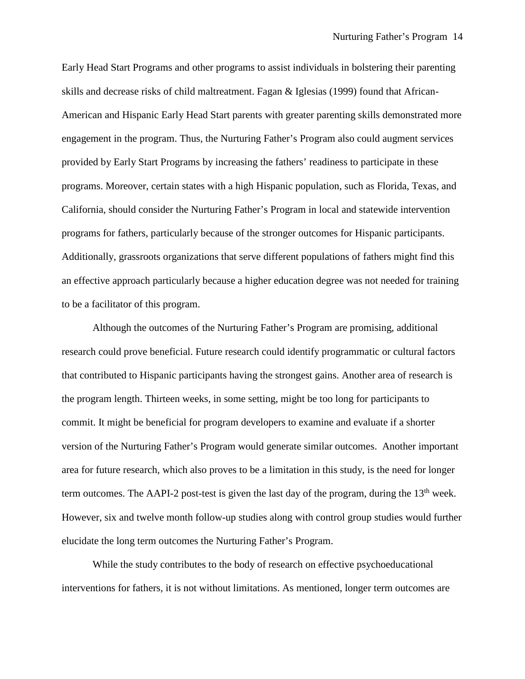Early Head Start Programs and other programs to assist individuals in bolstering their parenting skills and decrease risks of child maltreatment. Fagan & Iglesias (1999) found that African-American and Hispanic Early Head Start parents with greater parenting skills demonstrated more engagement in the program. Thus, the Nurturing Father's Program also could augment services provided by Early Start Programs by increasing the fathers' readiness to participate in these programs. Moreover, certain states with a high Hispanic population, such as Florida, Texas, and California, should consider the Nurturing Father's Program in local and statewide intervention programs for fathers, particularly because of the stronger outcomes for Hispanic participants. Additionally, grassroots organizations that serve different populations of fathers might find this an effective approach particularly because a higher education degree was not needed for training to be a facilitator of this program.

Although the outcomes of the Nurturing Father's Program are promising, additional research could prove beneficial. Future research could identify programmatic or cultural factors that contributed to Hispanic participants having the strongest gains. Another area of research is the program length. Thirteen weeks, in some setting, might be too long for participants to commit. It might be beneficial for program developers to examine and evaluate if a shorter version of the Nurturing Father's Program would generate similar outcomes. Another important area for future research, which also proves to be a limitation in this study, is the need for longer term outcomes. The AAPI-2 post-test is given the last day of the program, during the  $13<sup>th</sup>$  week. However, six and twelve month follow-up studies along with control group studies would further elucidate the long term outcomes the Nurturing Father's Program.

While the study contributes to the body of research on effective psychoeducational interventions for fathers, it is not without limitations. As mentioned, longer term outcomes are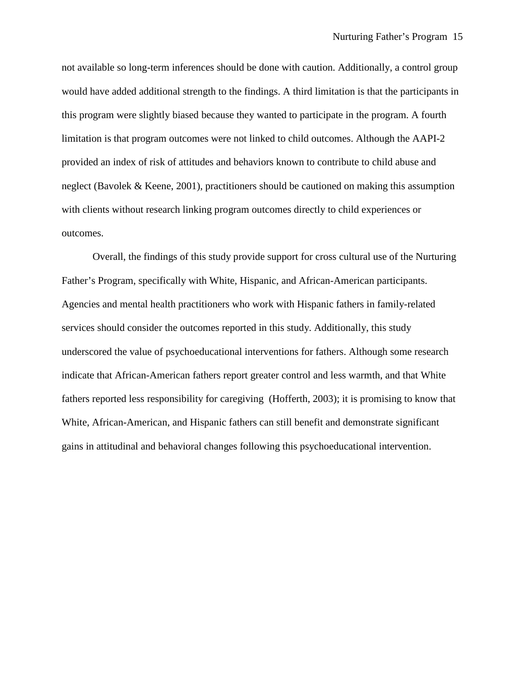not available so long-term inferences should be done with caution. Additionally, a control group would have added additional strength to the findings. A third limitation is that the participants in this program were slightly biased because they wanted to participate in the program. A fourth limitation is that program outcomes were not linked to child outcomes. Although the AAPI-2 provided an index of risk of attitudes and behaviors known to contribute to child abuse and neglect (Bavolek & Keene, 2001), practitioners should be cautioned on making this assumption with clients without research linking program outcomes directly to child experiences or outcomes.

Overall, the findings of this study provide support for cross cultural use of the Nurturing Father's Program, specifically with White, Hispanic, and African-American participants. Agencies and mental health practitioners who work with Hispanic fathers in family-related services should consider the outcomes reported in this study. Additionally, this study underscored the value of psychoeducational interventions for fathers. Although some research indicate that African-American fathers report greater control and less warmth, and that White fathers reported less responsibility for caregiving (Hofferth, 2003); it is promising to know that White, African-American, and Hispanic fathers can still benefit and demonstrate significant gains in attitudinal and behavioral changes following this psychoeducational intervention.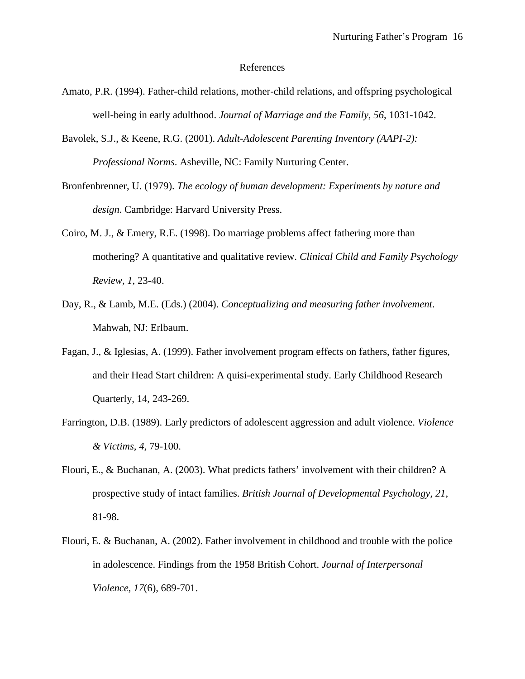#### References

- Amato, P.R. (1994). Father-child relations, mother-child relations, and offspring psychological well-being in early adulthood. *Journal of Marriage and the Family, 56*, 1031-1042.
- Bavolek, S.J., & Keene, R.G. (2001). *Adult-Adolescent Parenting Inventory (AAPI-2): Professional Norms*. Asheville, NC: Family Nurturing Center.
- Bronfenbrenner, U. (1979). *The ecology of human development: Experiments by nature and design*. Cambridge: Harvard University Press.
- Coiro, M. J., & Emery, R.E. (1998). Do marriage problems affect fathering more than mothering? A quantitative and qualitative review. *Clinical Child and Family Psychology Review, 1*, 23-40.
- Day, R., & Lamb, M.E. (Eds.) (2004). *Conceptualizing and measuring father involvement*. Mahwah, NJ: Erlbaum.
- Fagan, J., & Iglesias, A. (1999). Father involvement program effects on fathers, father figures, and their Head Start children: A quisi-experimental study. Early Childhood Research Quarterly, 14, 243-269.
- Farrington, D.B. (1989). Early predictors of adolescent aggression and adult violence. *Violence & Victims, 4*, 79-100.
- Flouri, E., & Buchanan, A. (2003). What predicts fathers' involvement with their children? A prospective study of intact families. *British Journal of Developmental Psychology, 21*, 81-98.
- Flouri, E. & Buchanan, A. (2002). Father involvement in childhood and trouble with the police in adolescence. Findings from the 1958 British Cohort. *Journal of Interpersonal Violence, 17*(6), 689-701.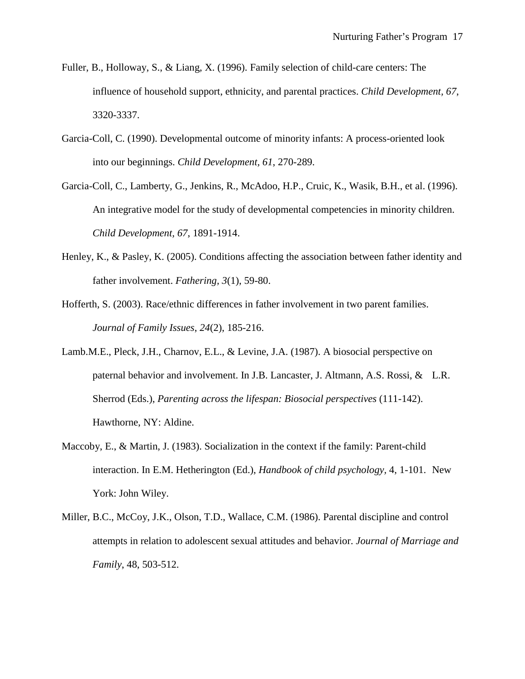- Fuller, B., Holloway, S., & Liang, X. (1996). Family selection of child-care centers: The influence of household support, ethnicity, and parental practices. *Child Development, 67*, 3320-3337.
- Garcia-Coll, C. (1990). Developmental outcome of minority infants: A process-oriented look into our beginnings. *Child Development, 61*, 270-289.
- Garcia-Coll, C., Lamberty, G., Jenkins, R., McAdoo, H.P., Cruic, K., Wasik, B.H., et al. (1996). An integrative model for the study of developmental competencies in minority children. *Child Development, 67*, 1891-1914.
- Henley, K., & Pasley, K. (2005). Conditions affecting the association between father identity and father involvement. *Fathering, 3*(1), 59-80.
- Hofferth, S. (2003). Race/ethnic differences in father involvement in two parent families. *Journal of Family Issues*, *24*(2), 185-216.
- Lamb.M.E., Pleck, J.H., Charnov, E.L., & Levine, J.A. (1987). A biosocial perspective on paternal behavior and involvement. In J.B. Lancaster, J. Altmann, A.S. Rossi, & L.R. Sherrod (Eds.), *Parenting across the lifespan: Biosocial perspectives* (111-142). Hawthorne, NY: Aldine.
- Maccoby, E., & Martin, J. (1983). Socialization in the context if the family: Parent-child interaction. In E.M. Hetherington (Ed.), *Handbook of child psychology,* 4, 1-101. New York: John Wiley.
- Miller, B.C., McCoy, J.K., Olson, T.D., Wallace, C.M. (1986). Parental discipline and control attempts in relation to adolescent sexual attitudes and behavior. *Journal of Marriage and Family*, 48, 503-512.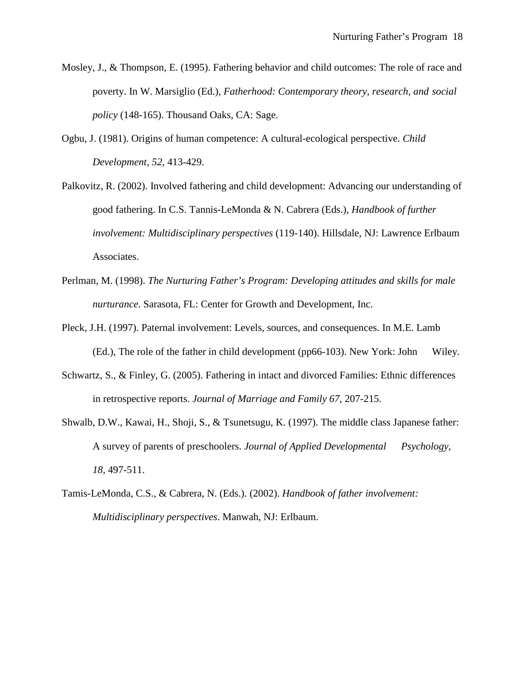- Mosley, J., & Thompson, E. (1995). Fathering behavior and child outcomes: The role of race and poverty. In W. Marsiglio (Ed.), *Fatherhood: Contemporary theory, research, and social policy* (148-165). Thousand Oaks, CA: Sage.
- Ogbu, J. (1981). Origins of human competence: A cultural-ecological perspective. *Child Development, 52*, 413-429.
- Palkovitz, R. (2002). Involved fathering and child development: Advancing our understanding of good fathering. In C.S. Tannis-LeMonda & N. Cabrera (Eds.), *Handbook of further involvement: Multidisciplinary perspectives* (119-140). Hillsdale, NJ: Lawrence Erlbaum Associates.
- Perlman, M. (1998). *The Nurturing Father's Program: Developing attitudes and skills for male nurturance*. Sarasota, FL: Center for Growth and Development, Inc.
- Pleck, J.H. (1997). Paternal involvement: Levels, sources, and consequences. In M.E. Lamb (Ed.), The role of the father in child development (pp66-103). New York: John Wiley.
- Schwartz, S., & Finley, G. (2005). Fathering in intact and divorced Families: Ethnic differences in retrospective reports. *Journal of Marriage and Family 67*, 207-215.
- Shwalb, D.W., Kawai, H., Shoji, S., & Tsunetsugu, K. (1997). The middle class Japanese father: A survey of parents of preschoolers. *Journal of Applied Developmental Psychology, 18*, 497-511.
- Tamis-LeMonda, C.S., & Cabrera, N. (Eds.). (2002). *Handbook of father involvement: Multidisciplinary perspectives*. Manwah, NJ: Erlbaum.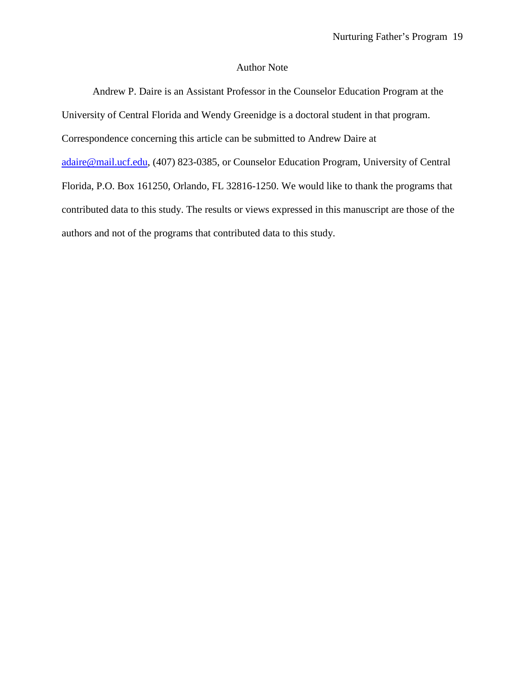# Author Note

Andrew P. Daire is an Assistant Professor in the Counselor Education Program at the University of Central Florida and Wendy Greenidge is a doctoral student in that program. Correspondence concerning this article can be submitted to Andrew Daire at [adaire@mail.ucf.edu,](mailto:adaire@mail.ucf.edu) (407) 823-0385, or Counselor Education Program, University of Central Florida, P.O. Box 161250, Orlando, FL 32816-1250. We would like to thank the programs that contributed data to this study. The results or views expressed in this manuscript are those of the authors and not of the programs that contributed data to this study.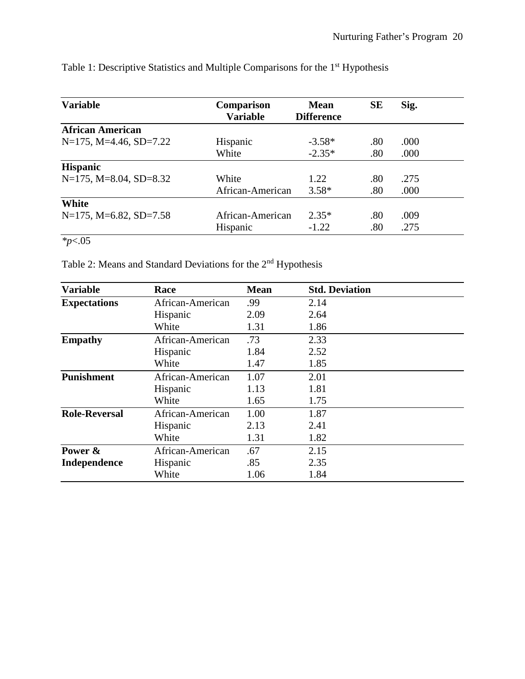| <b>Variable</b>                | <b>Comparison</b> | <b>Mean</b>       | <b>SE</b> | Sig. |  |
|--------------------------------|-------------------|-------------------|-----------|------|--|
|                                | <b>Variable</b>   | <b>Difference</b> |           |      |  |
| <b>African American</b>        |                   |                   |           |      |  |
| $N=175$ , $M=4.46$ , $SD=7.22$ | Hispanic          | $-3.58*$          | .80       | .000 |  |
|                                | White             | $-2.35*$          | .80       | .000 |  |
| <b>Hispanic</b>                |                   |                   |           |      |  |
| $N=175$ , $M=8.04$ , $SD=8.32$ | White             | 1.22              | .80       | .275 |  |
|                                | African-American  | $3.58*$           | .80       | .000 |  |
| White                          |                   |                   |           |      |  |
| $N=175$ , $M=6.82$ , $SD=7.58$ | African-American  | $2.35*$           | .80       | .009 |  |
|                                | Hispanic          | $-1.22$           | .80       | .275 |  |

Table 1: Descriptive Statistics and Multiple Comparisons for the 1st Hypothesis

*\*p*<.05

Table 2: Means and Standard Deviations for the 2nd Hypothesis

| <b>Variable</b>      | Race             | <b>Mean</b> | <b>Std. Deviation</b> |  |
|----------------------|------------------|-------------|-----------------------|--|
| <b>Expectations</b>  | African-American | .99         | 2.14                  |  |
|                      | Hispanic         | 2.09        | 2.64                  |  |
|                      | White            | 1.31        | 1.86                  |  |
| <b>Empathy</b>       | African-American | .73         | 2.33                  |  |
|                      | Hispanic         | 1.84        | 2.52                  |  |
|                      | White            | 1.47        | 1.85                  |  |
| <b>Punishment</b>    | African-American | 1.07        | 2.01                  |  |
|                      | Hispanic         | 1.13        | 1.81                  |  |
|                      | White            | 1.65        | 1.75                  |  |
| <b>Role-Reversal</b> | African-American | 1.00        | 1.87                  |  |
|                      | Hispanic         | 2.13        | 2.41                  |  |
|                      | White            | 1.31        | 1.82                  |  |
| Power &              | African-American | .67         | 2.15                  |  |
| <b>Independence</b>  | Hispanic         | .85         | 2.35                  |  |
|                      | White            | 1.06        | 1.84                  |  |